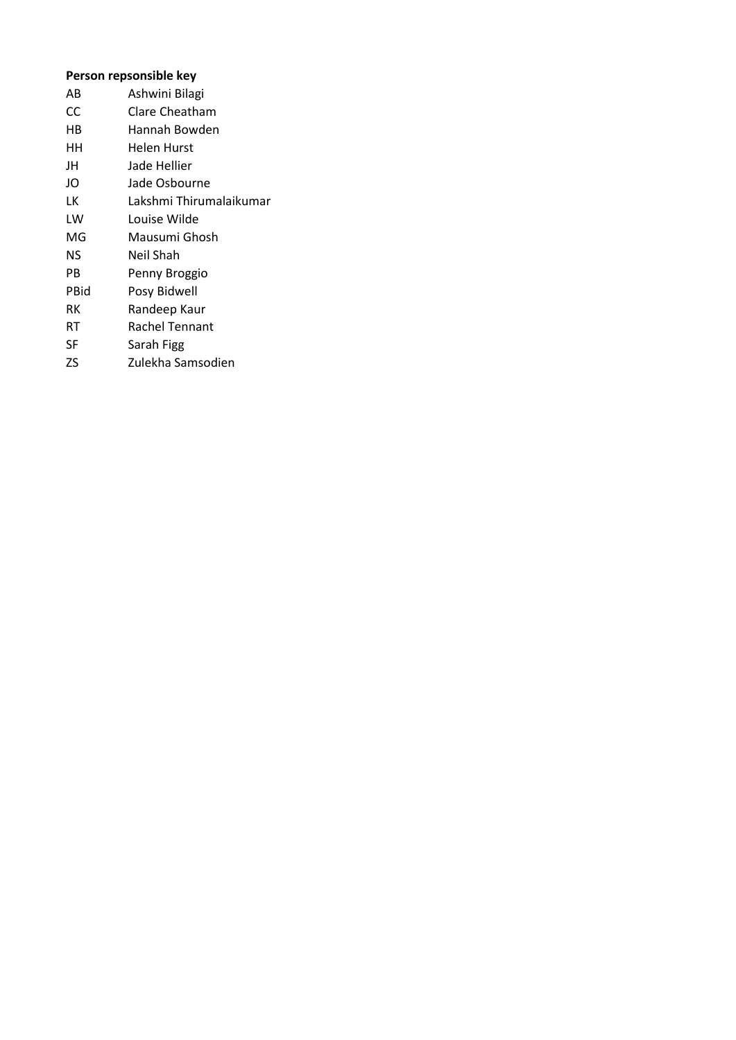## **Person repsonsible key**

| AB   | Ashwini Bilagi          |
|------|-------------------------|
| CC   | Clare Cheatham          |
| HВ   | Hannah Bowden           |
| HН   | Helen Hurst             |
| JH   | Jade Hellier            |
| JO   | Jade Osbourne           |
| LK   | Lakshmi Thirumalaikumar |
| LW   | Louise Wilde            |
| MG   | Mausumi Ghosh           |
| NS   | Neil Shah               |
| PB   | Penny Broggio           |
| PBid | Posy Bidwell            |
| RК   | Randeep Kaur            |
| RT   | Rachel Tennant          |
| SF   | Sarah Figg              |
| ZS   | Zulekha Samsodien       |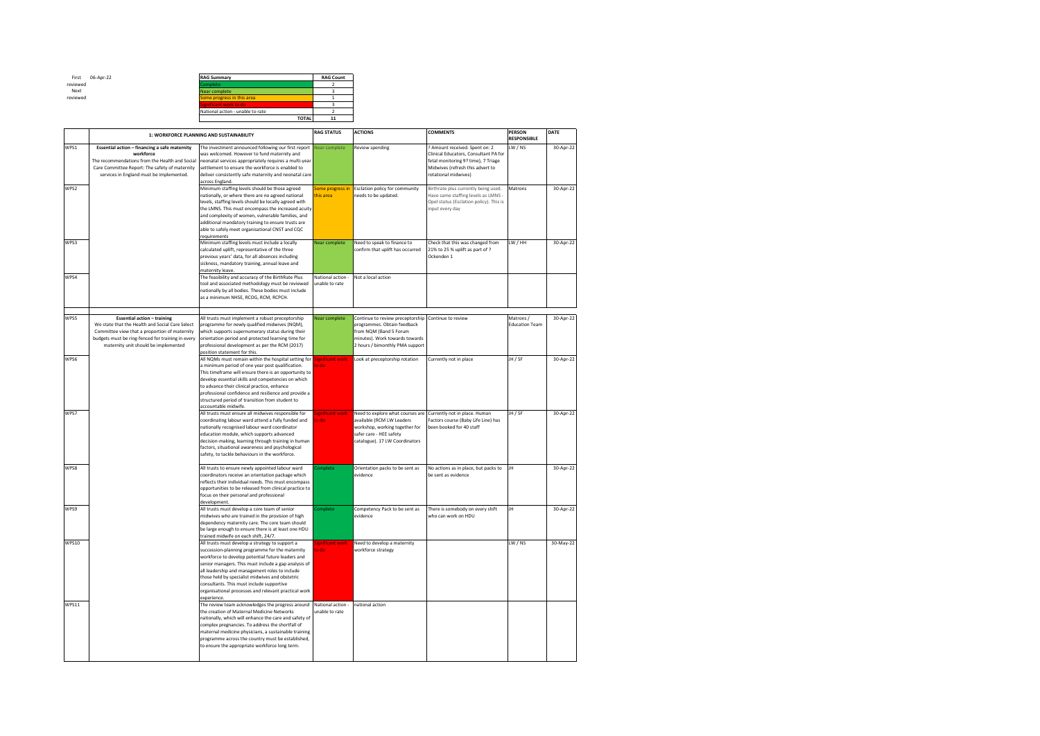First reviewed Next reviewed

| 06-Apr-22 | <b>RAG Summary</b>               |              | <b>RAG Count</b> |
|-----------|----------------------------------|--------------|------------------|
|           | Complete                         |              |                  |
|           | Near complete                    |              |                  |
|           | Some progress in this area       |              |                  |
|           | Significant work to do           |              |                  |
|           | National action - unable to rate |              |                  |
|           |                                  | <b>TOTAL</b> |                  |
|           |                                  |              |                  |

|              | 1: WORKFORCE PLANNING AND SUSTAINABILITY                                                                                                                                                                                            |                                                                                                                                                                                                                                                                                                                                                                                                                                          | <b>RAG STATUS</b>                   | <b>ACTIONS</b>                                                                                                                                                 | <b>COMMENTS</b>                                                                                                                                                            | <b>PERSON</b><br><b>RESPONSIBLE</b> | DATE      |
|--------------|-------------------------------------------------------------------------------------------------------------------------------------------------------------------------------------------------------------------------------------|------------------------------------------------------------------------------------------------------------------------------------------------------------------------------------------------------------------------------------------------------------------------------------------------------------------------------------------------------------------------------------------------------------------------------------------|-------------------------------------|----------------------------------------------------------------------------------------------------------------------------------------------------------------|----------------------------------------------------------------------------------------------------------------------------------------------------------------------------|-------------------------------------|-----------|
| WPS1         | Essential action - financing a safe maternity<br>workforce<br>The recommendations from the Health and Social<br>Care Committee Report: The safety of maternity<br>services in England must be implemented.                          | The investment announced following our first report<br>was welcomed. However to fund maternity and<br>neonatal services appropriately requires a multi-year<br>settlement to ensure the workforce is enabled to<br>deliver consistently safe maternity and neonatal care<br>across England.                                                                                                                                              | Near complete                       | Review spending                                                                                                                                                | ? Amount received. Spent on: 2<br>Clinical Educators, Consultant PA for<br>fetal monitoring 9? time), 7 Triage<br>Midwives (refresh this advert to<br>rotational midwives) | LW/NS                               | 30-Apr-22 |
| WPS2         |                                                                                                                                                                                                                                     | Minimum staffing levels should be those agreed<br>nationally, or where there are no agreed national<br>levels, staffing levels should be locally agreed with<br>the LMNS. This must encompass the increased acuity<br>and complexity of women, vulnerable families, and<br>additional mandatory training to ensure trusts are<br>able to safely meet organisational CNST and CQC<br>requirements                                         | Some progress in<br>this area       | <b>Esclation policy for community</b><br>needs to be updated.                                                                                                  | Birthrate plus currently being used.<br>Have same staffing levels as LMNS -<br>Opel status (Esclation policy). This is<br>input every day                                  | Matrons                             | 30-Apr-22 |
| WPS3         |                                                                                                                                                                                                                                     | Minimum staffing levels must include a locally<br>calculated uplift, representative of the three<br>previous years' data, for all absences including<br>sickness, mandatory training, annual leave and<br>maternity leave.                                                                                                                                                                                                               | Near complete                       | Need to speak to finance to<br>confirm that uplift has occurred                                                                                                | Check that this was changed from<br>21% to 25 % uplift as part of ?<br>Ockenden 1                                                                                          | LW / HH                             | 30-Apr-22 |
| WPS4         |                                                                                                                                                                                                                                     | The feasibility and accuracy of the BirthRate Plus<br>tool and associated methodology must be reviewed<br>nationally by all bodies. These bodies must include<br>as a minimum NHSE, RCOG, RCM, RCPCH.                                                                                                                                                                                                                                    | National action -<br>unable to rate | Not a local action                                                                                                                                             |                                                                                                                                                                            |                                     |           |
| WPS5         | <b>Essential action - training</b><br>We state that the Health and Social Care Select<br>Committee view that a proportion of maternity<br>budgets must be ring-fenced for training in every<br>maternity unit should be implemented | All trusts must implement a robust preceptorship<br>programme for newly qualified midwives (NQM),<br>which supports supernumerary status during their<br>orientation period and protected learning time for<br>professional development as per the RCM (2017)<br>position statement for this.                                                                                                                                            | Near complete                       | Continue to review preceptorship<br>programmes. Obtain feedback<br>from NOM (Band 5 Forum<br>minutes). Work towards towards<br>2 hours / bimonthly PMA support | Continue to review                                                                                                                                                         | Matrons /<br><b>Education Team</b>  | 30-Apr-22 |
| WPS6         |                                                                                                                                                                                                                                     | All NQMs must remain within the hospital setting for<br>a minimum period of one year post qualification.<br>This timeframe will ensure there is an opportunity to<br>develop essential skills and competencies on which<br>to advance their clinical practice, enhance<br>professional confidence and resilience and provide a<br>structured period of transition from student to<br>accountable midwife.                                | significant work<br>o do l          | Look at preceptorship rotation                                                                                                                                 | Currently not in place                                                                                                                                                     | JH / SF                             | 30-Apr-22 |
| WPS7         |                                                                                                                                                                                                                                     | All trusts must ensure all midwives responsible for<br>coordinating labour ward attend a fully funded and<br>nationally recognised labour ward coordinator<br>education module, which supports advanced<br>decision-making, learning through training in human<br>factors, situational awareness and psychological<br>safety, to tackle behaviours in the workforce.                                                                     | ignificant work<br>o do             | Need to explore what courses are<br>available (RCM LW Leaders<br>workshop, working together for<br>safer care - HEE safety<br>catalogue). 17 LW Coordinators   | Currently not in place. Human<br>Factors course (Baby Life Line) has<br>been booked for 40 staff                                                                           | JH / SF                             | 30-Apr-22 |
| WPS8         |                                                                                                                                                                                                                                     | All trusts to ensure newly appointed labour ward<br>coordinators receive an orientation package which<br>reflects their individual needs. This must encompass<br>opportunities to be released from clinical practice to<br>focus on their personal and professional<br>development.                                                                                                                                                      | complete                            | Orientation packs to be sent as<br>evidence                                                                                                                    | No actions as in place, but packs to<br>be sent as evidence                                                                                                                | <b>JH</b>                           | 30-Apr-22 |
| WPS9         |                                                                                                                                                                                                                                     | All trusts must develop a core team of senior<br>midwives who are trained in the provision of high<br>dependency maternity care. The core team should<br>be large enough to ensure there is at least one HDU<br>trained midwife on each shift, 24/7.                                                                                                                                                                                     | complete                            | Competency Pack to be sent as<br>evidence                                                                                                                      | There is somebody on every shift<br>who can work on HDU                                                                                                                    | JH                                  | 30-Apr-22 |
| <b>WPS10</b> |                                                                                                                                                                                                                                     | All trusts must develop a strategy to support a<br>succession-planning programme for the maternity<br>workforce to develop potential future leaders and<br>senior managers. This must include a gap analysis of<br>all leadership and management roles to include<br>those held by specialist midwives and obstetric<br>consultants. This must include supportive<br>organisational processes and relevant practical work<br>experience. | lienificant work<br>ob of           | Need to develop a maternity<br>workforce strategy                                                                                                              |                                                                                                                                                                            | LW / NS                             | 30-May-22 |
| WPS11        |                                                                                                                                                                                                                                     | The review team acknowledges the progress around<br>the creation of Maternal Medicine Networks<br>nationally, which will enhance the care and safety of<br>complex pregnancies. To address the shortfall of<br>maternal medicine physicians, a sustainable training<br>programme across the country must be established,<br>to ensure the appropriate workforce long term.                                                               | National action -<br>unable to rate | national action                                                                                                                                                |                                                                                                                                                                            |                                     |           |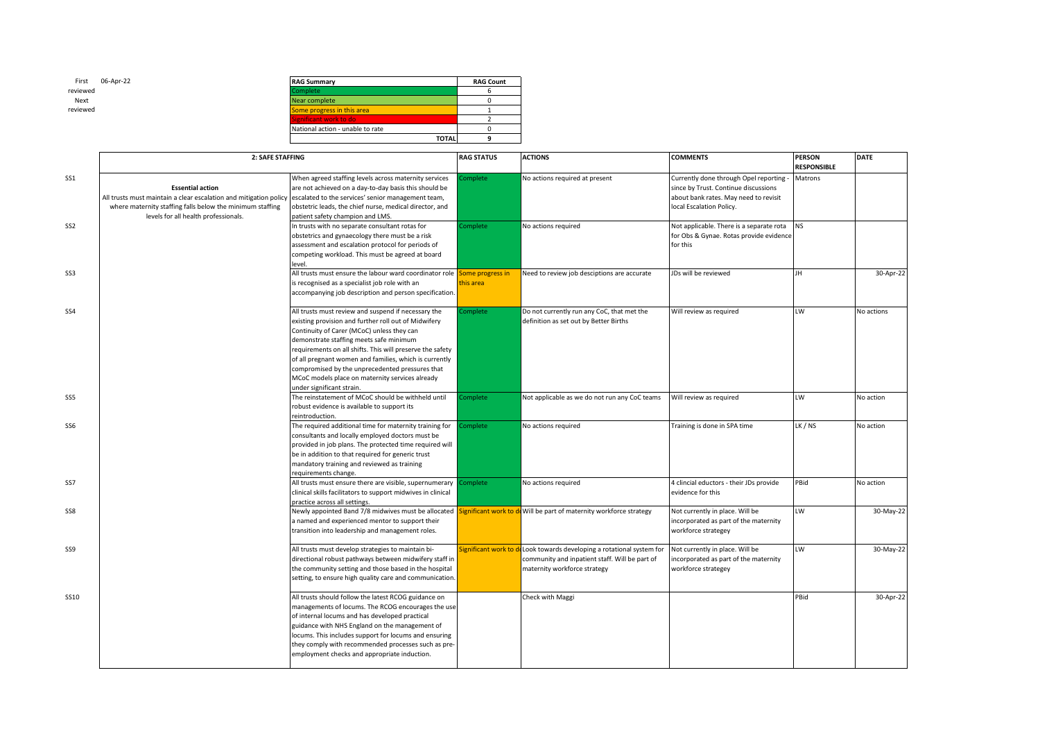| 06-Apr-22<br>First | <b>RAG Summary</b>               | <b>RAG Count</b> |
|--------------------|----------------------------------|------------------|
| reviewed           | <b>Complete</b>                  |                  |
| Next               | Near complete                    |                  |
| reviewed           | Some progress in this area       |                  |
|                    | Significant work to do           |                  |
|                    | National action - unable to rate |                  |
|                    | <b>TOTAL</b>                     |                  |

|                 | 2: SAFE STAFFING                                                                                                                                                                                                                                     |                                                                                                                                                                                                                                                                                                                                                                                                                                                                | <b>RAG STATUS</b>             | <b>ACTIONS</b>                                                                                                                    | <b>COMMENTS</b>                                                                                                                                    | <b>PERSON</b><br><b>RESPONSIBLE</b> | <b>DATE</b> |
|-----------------|------------------------------------------------------------------------------------------------------------------------------------------------------------------------------------------------------------------------------------------------------|----------------------------------------------------------------------------------------------------------------------------------------------------------------------------------------------------------------------------------------------------------------------------------------------------------------------------------------------------------------------------------------------------------------------------------------------------------------|-------------------------------|-----------------------------------------------------------------------------------------------------------------------------------|----------------------------------------------------------------------------------------------------------------------------------------------------|-------------------------------------|-------------|
| SS1             | <b>Essential action</b><br>All trusts must maintain a clear escalation and mitigation policy escalated to the services' senior management team,<br>where maternity staffing falls below the minimum staffing<br>levels for all health professionals. | When agreed staffing levels across maternity services<br>are not achieved on a day-to-day basis this should be<br>obstetric leads, the chief nurse, medical director, and<br>patient safety champion and LMS.                                                                                                                                                                                                                                                  | omplete                       | No actions required at present                                                                                                    | Currently done through Opel reporting<br>since by Trust. Continue discussions<br>about bank rates. May need to revisit<br>local Escalation Policy. | Matrons                             |             |
| SS <sub>2</sub> |                                                                                                                                                                                                                                                      | In trusts with no separate consultant rotas for<br>obstetrics and gynaecology there must be a risk<br>assessment and escalation protocol for periods of<br>competing workload. This must be agreed at board<br>level.                                                                                                                                                                                                                                          | omplete                       | No actions required                                                                                                               | Not applicable. There is a separate rota<br>for Obs & Gynae. Rotas provide evidence<br>for this                                                    | <b>NS</b>                           |             |
| SS3             |                                                                                                                                                                                                                                                      | All trusts must ensure the labour ward coordinator role<br>is recognised as a specialist job role with an<br>accompanying job description and person specification.                                                                                                                                                                                                                                                                                            | Some progress in<br>this area | Need to review job desciptions are accurate                                                                                       | JDs will be reviewed                                                                                                                               | JH.                                 | 30-Apr-22   |
| SS <sub>4</sub> |                                                                                                                                                                                                                                                      | All trusts must review and suspend if necessary the<br>existing provision and further roll out of Midwifery<br>Continuity of Carer (MCoC) unless they can<br>demonstrate staffing meets safe minimum<br>requirements on all shifts. This will preserve the safety<br>of all pregnant women and families, which is currently<br>compromised by the unprecedented pressures that<br>MCoC models place on maternity services already<br>under significant strain. | Complete                      | Do not currently run any CoC, that met the<br>definition as set out by Better Births                                              | Will review as required                                                                                                                            | LW                                  | No actions  |
| SS5             |                                                                                                                                                                                                                                                      | The reinstatement of MCoC should be withheld until<br>robust evidence is available to support its<br>reintroduction.                                                                                                                                                                                                                                                                                                                                           | Complete                      | Not applicable as we do not run any CoC teams                                                                                     | Will review as required                                                                                                                            | LW                                  | No action   |
| SS6             |                                                                                                                                                                                                                                                      | The required additional time for maternity training for<br>consultants and locally employed doctors must be<br>provided in job plans. The protected time required will<br>be in addition to that required for generic trust<br>mandatory training and reviewed as training<br>requirements change.                                                                                                                                                             | omplete                       | No actions required                                                                                                               | Training is done in SPA time                                                                                                                       | LK / NS                             | No action   |
| SS7             |                                                                                                                                                                                                                                                      | All trusts must ensure there are visible, supernumerary<br>clinical skills facilitators to support midwives in clinical<br>practice across all settings.                                                                                                                                                                                                                                                                                                       | omplete                       | No actions required                                                                                                               | 4 clincial eductors - their JDs provide<br>evidence for this                                                                                       | PBid                                | No action   |
| SS8             |                                                                                                                                                                                                                                                      | Newly appointed Band 7/8 midwives must be allocated S<br>a named and experienced mentor to support their<br>transition into leadership and management roles.                                                                                                                                                                                                                                                                                                   |                               | <b>Significant work to d</b> Will be part of maternity workforce strategy                                                         | Not currently in place. Will be<br>incorporated as part of the maternity<br>workforce strategey                                                    | LW                                  | 30-May-22   |
| SS9             |                                                                                                                                                                                                                                                      | All trusts must develop strategies to maintain bi-<br>directional robust pathways between midwifery staff in<br>the community setting and those based in the hospital<br>setting, to ensure high quality care and communication.                                                                                                                                                                                                                               | ignificant work to            | Look towards developing a rotational system for<br>community and inpatient staff. Will be part of<br>maternity workforce strategy | Not currently in place. Will be<br>incorporated as part of the maternity<br>workforce strategey                                                    | LW                                  | 30-May-22   |
| SS10            |                                                                                                                                                                                                                                                      | All trusts should follow the latest RCOG guidance on<br>managements of locums. The RCOG encourages the use<br>of internal locums and has developed practical<br>guidance with NHS England on the management of<br>locums. This includes support for locums and ensuring<br>they comply with recommended processes such as pre-<br>employment checks and appropriate induction.                                                                                 |                               | Check with Maggi                                                                                                                  |                                                                                                                                                    | PBid                                | 30-Apr-22   |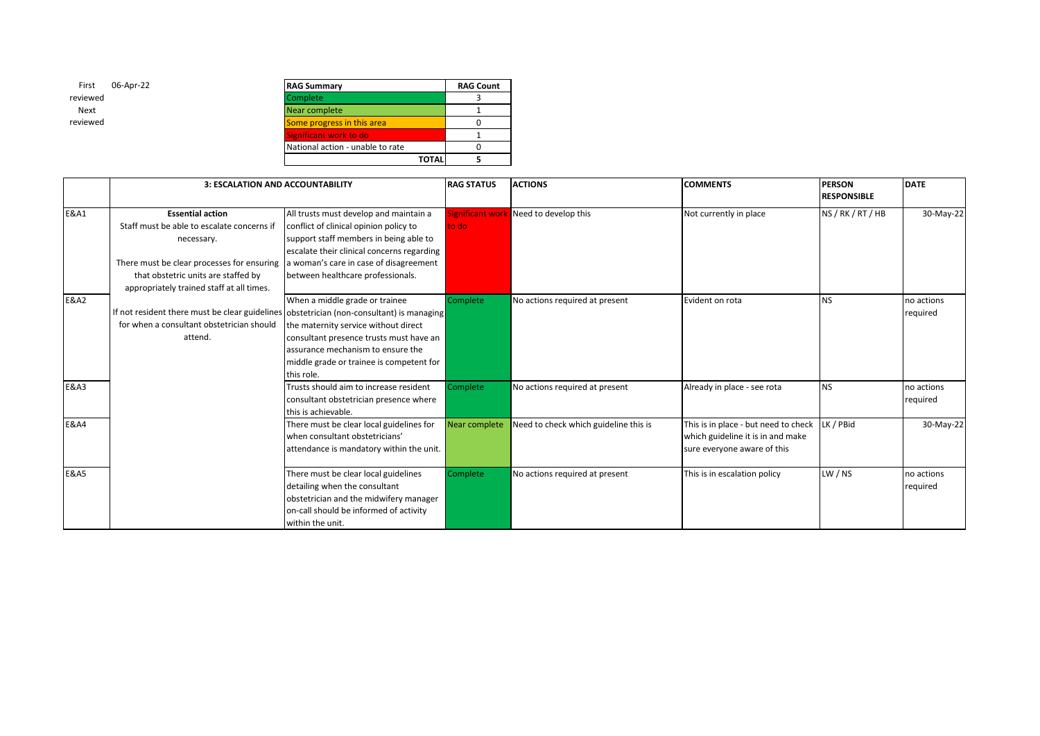| 06-Apr-22<br>First | <b>RAG Summary</b>               |              | <b>RAG Count</b> |
|--------------------|----------------------------------|--------------|------------------|
| reviewed           | Complete                         |              |                  |
| Next               | Near complete                    |              |                  |
| reviewed           | Some progress in this area       |              |                  |
|                    | Significant work to do           |              |                  |
|                    | National action - unable to rate |              |                  |
|                    |                                  | <b>TOTAL</b> |                  |

|                 | 3: ESCALATION AND ACCOUNTABILITY                                                                                                                                                                                      |                                                                                                                                                                                                                                                         | <b>RAG STATUS</b> | <b>ACTIONS</b>                               | <b>COMMENTS</b>                                                                                          | <b>PERSON</b><br><b>RESPONSIBLE</b> | <b>DATE</b>            |
|-----------------|-----------------------------------------------------------------------------------------------------------------------------------------------------------------------------------------------------------------------|---------------------------------------------------------------------------------------------------------------------------------------------------------------------------------------------------------------------------------------------------------|-------------------|----------------------------------------------|----------------------------------------------------------------------------------------------------------|-------------------------------------|------------------------|
| <b>E&amp;A1</b> | <b>Essential action</b><br>Staff must be able to escalate concerns if<br>necessary.<br>There must be clear processes for ensuring<br>that obstetric units are staffed by<br>appropriately trained staff at all times. | All trusts must develop and maintain a<br>conflict of clinical opinion policy to<br>support staff members in being able to<br>escalate their clinical concerns regarding<br>a woman's care in case of disagreement<br>between healthcare professionals. | to do             | <b>Significant work</b> Need to develop this | Not currently in place                                                                                   | NS / RK / RT / HB                   | 30-May-22              |
| <b>E&amp;A2</b> | If not resident there must be clear guidelines obstetrician (non-consultant) is managing<br>for when a consultant obstetrician should<br>attend.                                                                      | When a middle grade or trainee<br>the maternity service without direct<br>consultant presence trusts must have an<br>assurance mechanism to ensure the<br>middle grade or trainee is competent for<br>this role.                                        | Complete          | No actions required at present               | Evident on rota                                                                                          | NS.                                 | no actions<br>required |
| <b>E&amp;A3</b> |                                                                                                                                                                                                                       | Trusts should aim to increase resident<br>consultant obstetrician presence where<br>this is achievable.                                                                                                                                                 | Complete          | No actions required at present               | Already in place - see rota                                                                              | <b>NS</b>                           | no actions<br>required |
| <b>E&amp;A4</b> |                                                                                                                                                                                                                       | There must be clear local guidelines for<br>when consultant obstetricians'<br>attendance is mandatory within the unit.                                                                                                                                  | Near complete     | Need to check which guideline this is        | This is in place - but need to check<br>which guideline it is in and make<br>sure everyone aware of this | LK / PBid                           | 30-May-22              |
| <b>E&amp;A5</b> |                                                                                                                                                                                                                       | There must be clear local guidelines<br>detailing when the consultant<br>obstetrician and the midwifery manager<br>on-call should be informed of activity<br>within the unit.                                                                           | Complete          | No actions required at present               | This is in escalation policy                                                                             | LW / NS                             | no actions<br>required |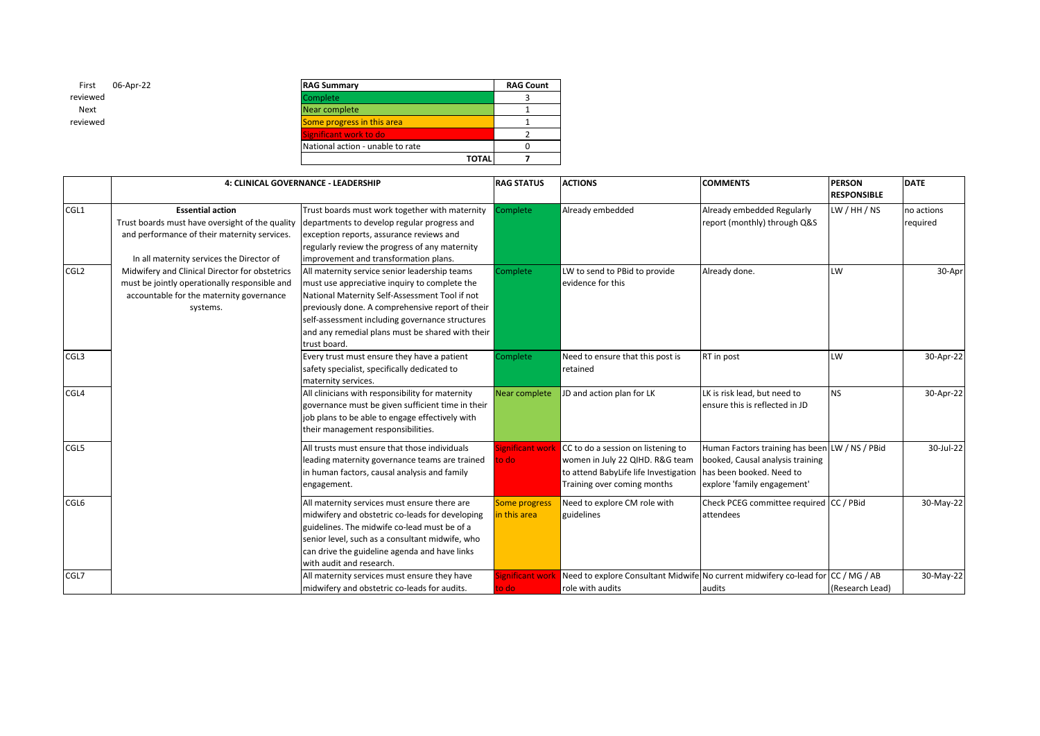| First<br>06-Apr-22 | <b>RAG Summary</b>               | <b>RAG Count</b> |
|--------------------|----------------------------------|------------------|
| reviewed           | <b>Complete</b>                  |                  |
| Next               | Near complete                    |                  |
| reviewed           | Some progress in this area       |                  |
|                    | Significant work to do           |                  |
|                    | National action - unable to rate |                  |
|                    | <b>TOTAL</b>                     |                  |
|                    |                                  |                  |

|                  |                                                                                                                                                                         | 4: CLINICAL GOVERNANCE - LEADERSHIP                                                                                                                                                                                                                                                                                         | <b>RAG STATUS</b>                    | <b>ACTIONS</b>                                                                                                                                | <b>COMMENTS</b>                                                                                                                               | <b>PERSON</b><br><b>RESPONSIBLE</b> | <b>DATE</b>            |
|------------------|-------------------------------------------------------------------------------------------------------------------------------------------------------------------------|-----------------------------------------------------------------------------------------------------------------------------------------------------------------------------------------------------------------------------------------------------------------------------------------------------------------------------|--------------------------------------|-----------------------------------------------------------------------------------------------------------------------------------------------|-----------------------------------------------------------------------------------------------------------------------------------------------|-------------------------------------|------------------------|
| CGL1             | <b>Essential action</b><br>Trust boards must have oversight of the quality<br>and performance of their maternity services.<br>In all maternity services the Director of | Trust boards must work together with maternity<br>departments to develop regular progress and<br>exception reports, assurance reviews and<br>regularly review the progress of any maternity<br>improvement and transformation plans.                                                                                        | Complete                             | Already embedded                                                                                                                              | Already embedded Regularly<br>report (monthly) through Q&S                                                                                    | LW / HH / NS                        | no actions<br>required |
| CGL <sub>2</sub> | Midwifery and Clinical Director for obstetrics<br>must be jointly operationally responsible and<br>accountable for the maternity governance<br>systems.                 | All maternity service senior leadership teams<br>must use appreciative inquiry to complete the<br>National Maternity Self-Assessment Tool if not<br>previously done. A comprehensive report of their<br>self-assessment including governance structures<br>and any remedial plans must be shared with their<br>trust board. | Complete                             | LW to send to PBid to provide<br>evidence for this                                                                                            | Already done.                                                                                                                                 | W.                                  | 30-Apr                 |
| CGL <sub>3</sub> |                                                                                                                                                                         | Every trust must ensure they have a patient<br>safety specialist, specifically dedicated to<br>maternity services.                                                                                                                                                                                                          | Complete                             | Need to ensure that this post is<br>retained                                                                                                  | RT in post                                                                                                                                    | W.                                  | 30-Apr-22              |
| CGL4             |                                                                                                                                                                         | All clinicians with responsibility for maternity<br>governance must be given sufficient time in their<br>job plans to be able to engage effectively with<br>their management responsibilities.                                                                                                                              | Near complete                        | JD and action plan for LK                                                                                                                     | LK is risk lead, but need to<br>ensure this is reflected in JD                                                                                | NS.                                 | 30-Apr-22              |
| CGL5             |                                                                                                                                                                         | All trusts must ensure that those individuals<br>leading maternity governance teams are trained<br>in human factors, causal analysis and family<br>engagement.                                                                                                                                                              | Significant work<br>to do            | CC to do a session on listening to<br>women in July 22 QIHD. R&G team<br>to attend BabyLife life Investigation<br>Training over coming months | Human Factors training has been LW / NS / PBid<br>booked, Causal analysis training<br>has been booked. Need to<br>explore 'family engagement' |                                     | 30-Jul-22              |
| CGL6             |                                                                                                                                                                         | All maternity services must ensure there are<br>midwifery and obstetric co-leads for developing<br>guidelines. The midwife co-lead must be of a<br>senior level, such as a consultant midwife, who<br>can drive the guideline agenda and have links<br>with audit and research.                                             | <b>Some progress</b><br>in this area | Need to explore CM role with<br>guidelines                                                                                                    | Check PCEG committee required CC / PBid<br>attendees                                                                                          |                                     | 30-May-22              |
| CGL7             |                                                                                                                                                                         | All maternity services must ensure they have<br>midwifery and obstetric co-leads for audits.                                                                                                                                                                                                                                | Significant work<br>to do            | Need to explore Consultant Midwife No current midwifery co-lead for<br>role with audits                                                       | audits                                                                                                                                        | CC / MG / AB<br>(Research Lead)     | 30-May-22              |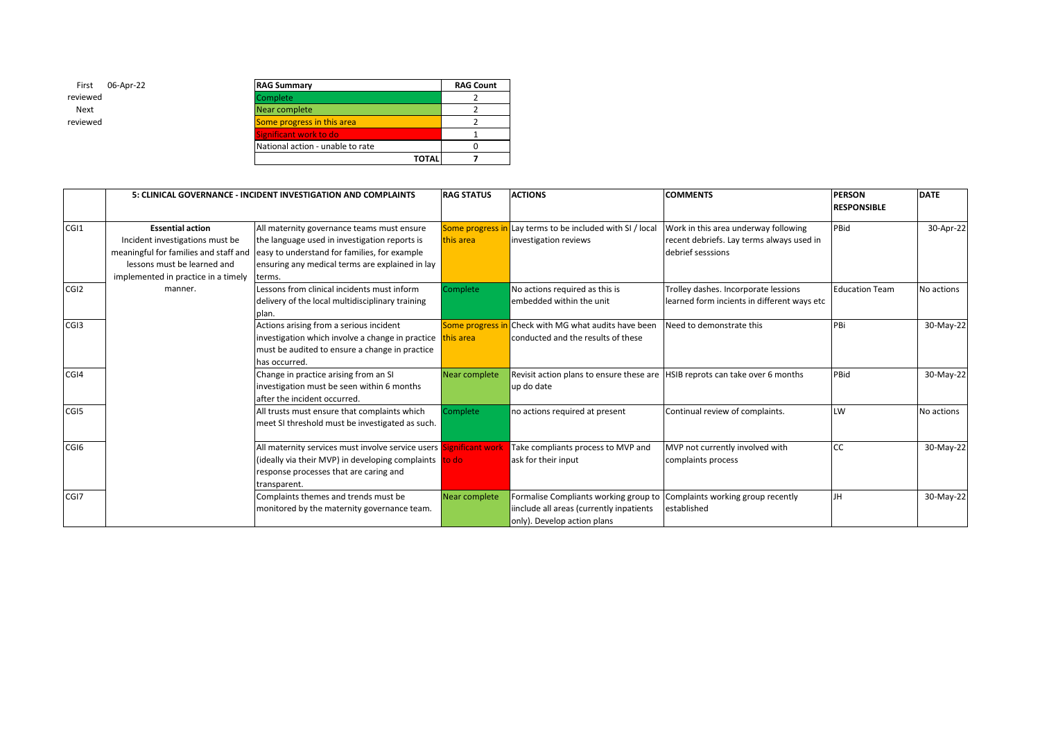| 06-Apr-22 | <b>RAG Summary</b>               |              | <b>RAG Count</b> |
|-----------|----------------------------------|--------------|------------------|
|           | Complete                         |              |                  |
|           | Near complete                    |              |                  |
|           | Some progress in this area       |              |                  |
|           | Significant work to do           |              |                  |
|           | National action - unable to rate |              |                  |
|           |                                  | <b>TOTAL</b> |                  |

|                  |                                                                                                                                                                           | 5: CLINICAL GOVERNANCE - INCIDENT INVESTIGATION AND COMPLAINTS                                                                                                                                           | <b>RAG STATUS</b>                 | <b>ACTIONS</b>                                                                                                   | <b>COMMENTS</b>                                                                                        | <b>PERSON</b><br><b>RESPONSIBLE</b> | <b>DATE</b> |
|------------------|---------------------------------------------------------------------------------------------------------------------------------------------------------------------------|----------------------------------------------------------------------------------------------------------------------------------------------------------------------------------------------------------|-----------------------------------|------------------------------------------------------------------------------------------------------------------|--------------------------------------------------------------------------------------------------------|-------------------------------------|-------------|
| CGI1             | <b>Essential action</b><br>Incident investigations must be<br>meaningful for families and staff and<br>lessons must be learned and<br>implemented in practice in a timely | All maternity governance teams must ensure<br>the language used in investigation reports is<br>easy to understand for families, for example<br>ensuring any medical terms are explained in lay<br>terms. | Some progress<br>this area        | Lay terms to be included with SI / local<br>investigation reviews                                                | Work in this area underway following<br>recent debriefs. Lay terms always used in<br>debrief sesssions | PBid                                | 30-Apr-22   |
| CGI <sub>2</sub> | manner.                                                                                                                                                                   | Lessons from clinical incidents must inform<br>delivery of the local multidisciplinary training<br>plan.                                                                                                 | Complete                          | No actions required as this is<br>embedded within the unit                                                       | Trolley dashes. Incorporate lessions<br>learned form incients in different ways etc                    | <b>Education Team</b>               | No actions  |
| CG <sub>13</sub> |                                                                                                                                                                           | Actions arising from a serious incident<br>investigation which involve a change in practice<br>must be audited to ensure a change in practice<br>has occurred.                                           | <b>Some progress</b><br>this area | <b>Check with MG what audits have been</b><br>conducted and the results of these                                 | Need to demonstrate this                                                                               | PBi                                 | 30-May-22   |
| CGI4             |                                                                                                                                                                           | Change in practice arising from an SI<br>investigation must be seen within 6 months<br>after the incident occurred.                                                                                      | Near complete                     | Revisit action plans to ensure these are HSIB reprots can take over 6 months<br>up do date                       |                                                                                                        | PBid                                | 30-May-22   |
| CGI5             |                                                                                                                                                                           | All trusts must ensure that complaints which<br>meet SI threshold must be investigated as such.                                                                                                          | <b>Complete</b>                   | no actions required at present                                                                                   | Continual review of complaints.                                                                        | LW                                  | No actions  |
| CGI <sub>6</sub> |                                                                                                                                                                           | All maternity services must involve service users Significant work<br>(ideally via their MVP) in developing complaints to do<br>response processes that are caring and<br>transparent.                   |                                   | Take compliants process to MVP and<br>ask for their input                                                        | MVP not currently involved with<br>complaints process                                                  | <b>CC</b>                           | 30-May-22   |
| CGI7             |                                                                                                                                                                           | Complaints themes and trends must be<br>monitored by the maternity governance team.                                                                                                                      | Near complete                     | Formalise Compliants working group to<br>iinclude all areas (currently inpatients<br>only). Develop action plans | Complaints working group recently<br>established                                                       | <b>JH</b>                           | 30-May-22   |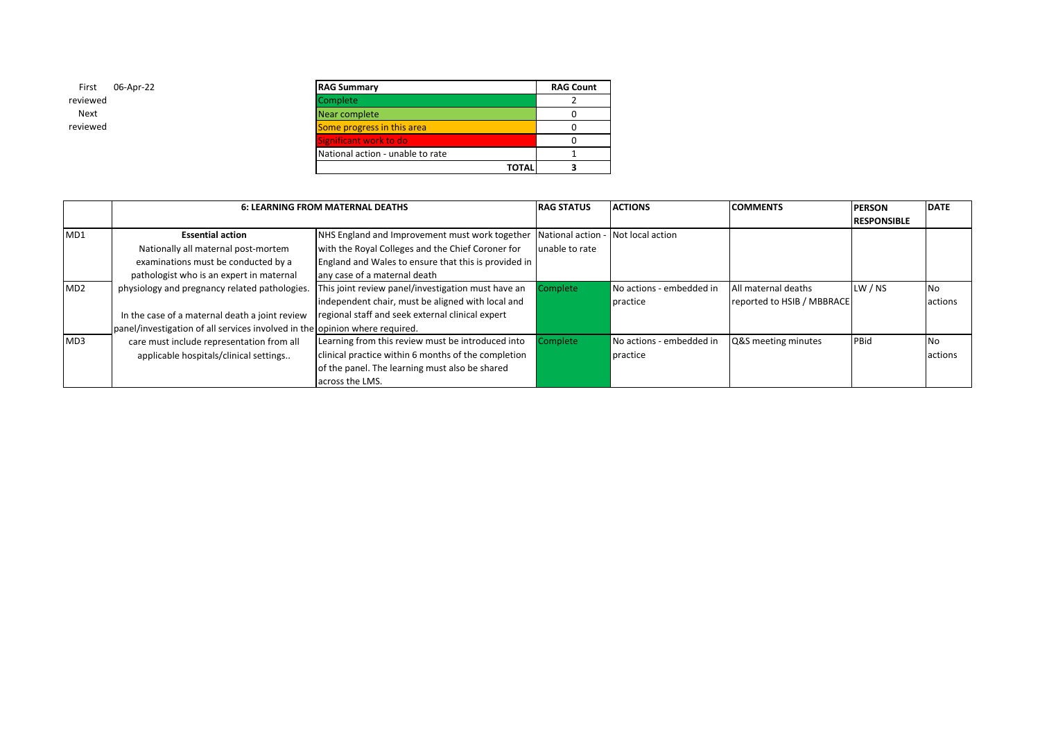| 06-Apr-22 | <b>RAG Summary</b>               | <b>RAG Count</b> |
|-----------|----------------------------------|------------------|
|           | Complete                         |                  |
|           | Near complete                    |                  |
|           | Some progress in this area       |                  |
|           | Significant work to do           |                  |
|           | National action - unable to rate |                  |
|           |                                  | <b>TOTAL</b>     |

|     |                                                                             | <b>6: LEARNING FROM MATERNAL DEATHS</b>              | <b>RAG STATUS</b> | <b>ACTIONS</b>           | <b>COMMENTS</b>            | <b>PERSON</b>      | <b>DATE</b>    |
|-----|-----------------------------------------------------------------------------|------------------------------------------------------|-------------------|--------------------------|----------------------------|--------------------|----------------|
|     |                                                                             |                                                      |                   |                          |                            | <b>RESPONSIBLE</b> |                |
| MD1 | <b>Essential action</b>                                                     | NHS England and Improvement must work together       | National action - | Not local action         |                            |                    |                |
|     | Nationally all maternal post-mortem                                         | with the Royal Colleges and the Chief Coroner for    | unable to rate    |                          |                            |                    |                |
|     | examinations must be conducted by a                                         | England and Wales to ensure that this is provided in |                   |                          |                            |                    |                |
|     | pathologist who is an expert in maternal                                    | any case of a maternal death                         |                   |                          |                            |                    |                |
| MD2 | physiology and pregnancy related pathologies.                               | This joint review panel/investigation must have an   | Complete          | No actions - embedded in | All maternal deaths        | LW / NS            | <b>No</b>      |
|     |                                                                             | independent chair, must be aligned with local and    |                   | practice                 | reported to HSIB / MBBRACE |                    | <b>actions</b> |
|     | In the case of a maternal death a joint review                              | regional staff and seek external clinical expert     |                   |                          |                            |                    |                |
|     | panel/investigation of all services involved in the opinion where required. |                                                      |                   |                          |                            |                    |                |
| MD3 | care must include representation from all                                   | Learning from this review must be introduced into    | <b>Complete</b>   | No actions - embedded in | Q&S meeting minutes        | PBid               | <b>No</b>      |
|     | applicable hospitals/clinical settings                                      | clinical practice within 6 months of the completion  |                   | practice                 |                            |                    | actions        |
|     |                                                                             | of the panel. The learning must also be shared       |                   |                          |                            |                    |                |
|     |                                                                             | across the LMS.                                      |                   |                          |                            |                    |                |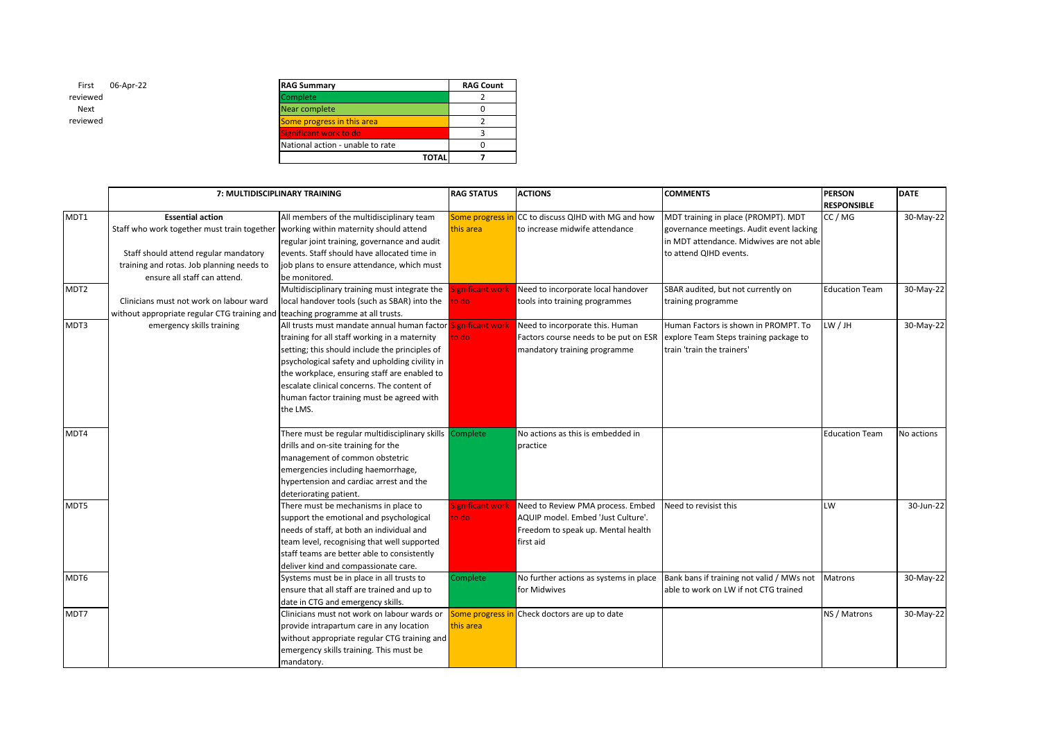| 06-Apr-22 | <b>RAG Summary</b>               |              | <b>RAG Count</b> |
|-----------|----------------------------------|--------------|------------------|
|           | Complete                         |              |                  |
|           | Near complete                    |              |                  |
|           | Some progress in this area       |              |                  |
|           | Significant work to do           |              |                  |
|           | National action - unable to rate |              |                  |
|           |                                  | <b>TOTAL</b> |                  |

|                  |                                                                                                                                                                                                                                     | 7: MULTIDISCIPLINARY TRAINING                                                                                                                                                                                                                                                                                                                                            | <b>RAG STATUS</b>             | <b>ACTIONS</b>                                                                                                             | <b>COMMENTS</b>                                                                                                                                       | <b>PERSON</b><br><b>RESPONSIBLE</b> | <b>DATE</b> |
|------------------|-------------------------------------------------------------------------------------------------------------------------------------------------------------------------------------------------------------------------------------|--------------------------------------------------------------------------------------------------------------------------------------------------------------------------------------------------------------------------------------------------------------------------------------------------------------------------------------------------------------------------|-------------------------------|----------------------------------------------------------------------------------------------------------------------------|-------------------------------------------------------------------------------------------------------------------------------------------------------|-------------------------------------|-------------|
| MDT1             | <b>Essential action</b><br>Staff who work together must train together working within maternity should attend<br>Staff should attend regular mandatory<br>training and rotas. Job planning needs to<br>ensure all staff can attend. | All members of the multidisciplinary team<br>regular joint training, governance and audit<br>events. Staff should have allocated time in<br>job plans to ensure attendance, which must<br>be monitored.                                                                                                                                                                  | Some progress in<br>this area | CC to discuss QIHD with MG and how<br>to increase midwife attendance                                                       | MDT training in place (PROMPT). MDT<br>governance meetings. Audit event lacking<br>in MDT attendance. Midwives are not able<br>to attend QIHD events. | CC / MG                             | 30-May-22   |
| MDT <sub>2</sub> | Clinicians must not work on labour ward<br>without appropriate regular CTG training and teaching programme at all trusts.                                                                                                           | Multidisciplinary training must integrate the<br>local handover tools (such as SBAR) into the                                                                                                                                                                                                                                                                            | Significant work<br>to do l   | Need to incorporate local handover<br>tools into training programmes                                                       | SBAR audited, but not currently on<br>training programme                                                                                              | <b>Education Team</b>               | 30-May-22   |
| MDT3             | emergency skills training                                                                                                                                                                                                           | All trusts must mandate annual human factor Significant work<br>training for all staff working in a maternity<br>setting; this should include the principles of<br>psychological safety and upholding civility in<br>the workplace, ensuring staff are enabled to<br>escalate clinical concerns. The content of<br>human factor training must be agreed with<br>the LMS. | to dol                        | Need to incorporate this. Human<br>Factors course needs to be put on ESR<br>mandatory training programme                   | Human Factors is shown in PROMPT. To<br>explore Team Steps training package to<br>train 'train the trainers'                                          | LW / JH                             | 30-May-22   |
| MDT4             |                                                                                                                                                                                                                                     | There must be regular multidisciplinary skills Complete<br>drills and on-site training for the<br>management of common obstetric<br>emergencies including haemorrhage,<br>hypertension and cardiac arrest and the<br>deteriorating patient.                                                                                                                              |                               | No actions as this is embedded in<br>practice                                                                              |                                                                                                                                                       | <b>Education Team</b>               | No actions  |
| MDT5             |                                                                                                                                                                                                                                     | There must be mechanisms in place to<br>support the emotional and psychological<br>needs of staff, at both an individual and<br>team level, recognising that well supported<br>staff teams are better able to consistently<br>deliver kind and compassionate care.                                                                                                       | Significant work<br>to do     | Need to Review PMA process. Embed<br>AQUIP model. Embed 'Just Culture'.<br>Freedom to speak up. Mental health<br>first aid | Need to revisist this                                                                                                                                 | LW                                  | 30-Jun-22   |
| MDT6             |                                                                                                                                                                                                                                     | Systems must be in place in all trusts to<br>ensure that all staff are trained and up to<br>date in CTG and emergency skills.                                                                                                                                                                                                                                            | Complete                      | No further actions as systems in place<br>for Midwives                                                                     | Bank bans if training not valid / MWs not<br>able to work on LW if not CTG trained                                                                    | <b>Matrons</b>                      | 30-May-22   |
| MDT7             |                                                                                                                                                                                                                                     | Clinicians must not work on labour wards or<br>provide intrapartum care in any location<br>without appropriate regular CTG training and<br>emergency skills training. This must be<br>mandatory.                                                                                                                                                                         | Some progress in<br>this area | Check doctors are up to date                                                                                               |                                                                                                                                                       | NS / Matrons                        | 30-May-22   |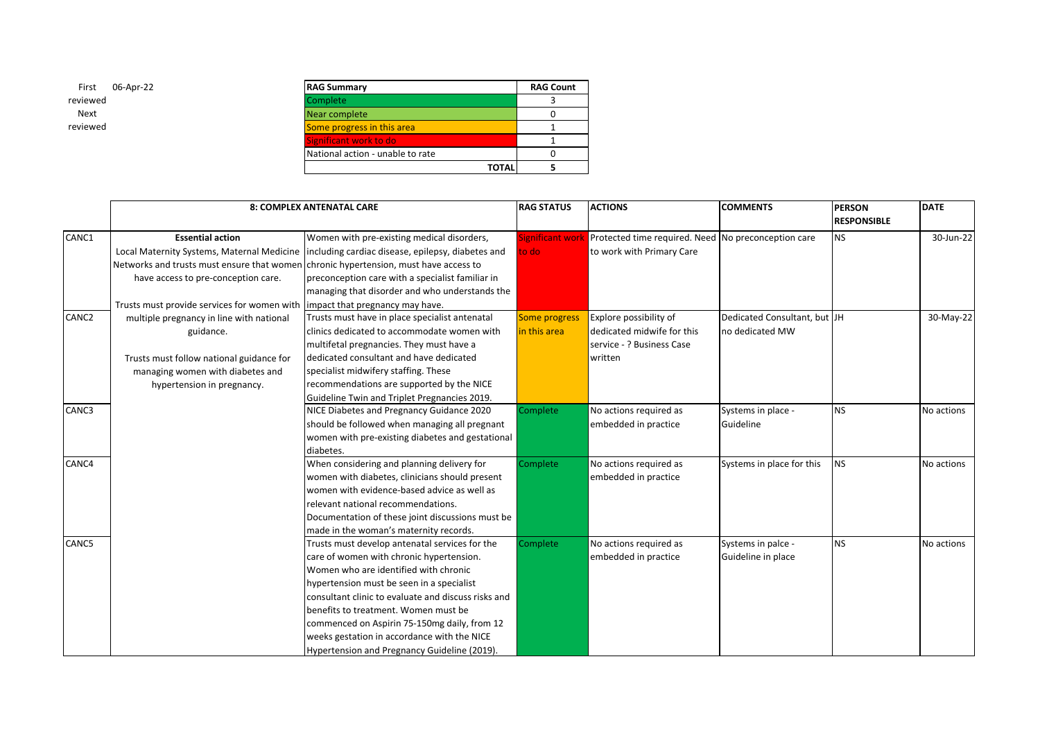| 06-Apr-22 | <b>RAG Summary</b>               | <b>RAG Count</b> |
|-----------|----------------------------------|------------------|
|           | Complete                         |                  |
|           | Near complete                    |                  |
|           | Some progress in this area       |                  |
|           | Significant work to do           |                  |
|           | National action - unable to rate |                  |
|           | <b>TOTAL</b>                     |                  |

|       |                                                                                      | <b>8: COMPLEX ANTENATAL CARE</b>                                                               | <b>RAG STATUS</b>    | <b>ACTIONS</b>                                      | <b>COMMENTS</b>              | <b>PERSON</b>      | <b>DATE</b> |
|-------|--------------------------------------------------------------------------------------|------------------------------------------------------------------------------------------------|----------------------|-----------------------------------------------------|------------------------------|--------------------|-------------|
|       |                                                                                      |                                                                                                |                      |                                                     |                              | <b>RESPONSIBLE</b> |             |
| CANC1 | <b>Essential action</b>                                                              | Women with pre-existing medical disorders,                                                     | Significant work     | Protected time required. Need No preconception care |                              | <b>NS</b>          | 30-Jun-22   |
|       |                                                                                      | Local Maternity Systems, Maternal Medicine   including cardiac disease, epilepsy, diabetes and | to do                | to work with Primary Care                           |                              |                    |             |
|       | Networks and trusts must ensure that women chronic hypertension, must have access to |                                                                                                |                      |                                                     |                              |                    |             |
|       | have access to pre-conception care.                                                  | preconception care with a specialist familiar in                                               |                      |                                                     |                              |                    |             |
|       |                                                                                      | managing that disorder and who understands the                                                 |                      |                                                     |                              |                    |             |
|       | Trusts must provide services for women with limpact that pregnancy may have.         |                                                                                                |                      |                                                     |                              |                    |             |
| CANC2 | multiple pregnancy in line with national                                             | Trusts must have in place specialist antenatal                                                 | <b>Some progress</b> | Explore possibility of                              | Dedicated Consultant, but JH |                    | 30-May-22   |
|       | guidance.                                                                            | clinics dedicated to accommodate women with                                                    | in this area         | dedicated midwife for this                          | no dedicated MW              |                    |             |
|       |                                                                                      | multifetal pregnancies. They must have a                                                       |                      | service - ? Business Case                           |                              |                    |             |
|       | Trusts must follow national guidance for                                             | dedicated consultant and have dedicated                                                        |                      | written                                             |                              |                    |             |
|       | managing women with diabetes and                                                     | specialist midwifery staffing. These                                                           |                      |                                                     |                              |                    |             |
|       | hypertension in pregnancy.                                                           | recommendations are supported by the NICE                                                      |                      |                                                     |                              |                    |             |
|       |                                                                                      | Guideline Twin and Triplet Pregnancies 2019.                                                   |                      |                                                     |                              |                    |             |
| CANC3 |                                                                                      | NICE Diabetes and Pregnancy Guidance 2020                                                      | Complete             | No actions required as                              | Systems in place -           | <b>NS</b>          | No actions  |
|       |                                                                                      | should be followed when managing all pregnant                                                  |                      | embedded in practice                                | Guideline                    |                    |             |
|       |                                                                                      | women with pre-existing diabetes and gestational                                               |                      |                                                     |                              |                    |             |
|       |                                                                                      | diabetes.                                                                                      |                      |                                                     |                              |                    |             |
| CANC4 |                                                                                      | When considering and planning delivery for                                                     | Complete             | No actions required as                              | Systems in place for this    | <b>NS</b>          | No actions  |
|       |                                                                                      | women with diabetes, clinicians should present                                                 |                      | embedded in practice                                |                              |                    |             |
|       |                                                                                      | women with evidence-based advice as well as                                                    |                      |                                                     |                              |                    |             |
|       |                                                                                      | relevant national recommendations.                                                             |                      |                                                     |                              |                    |             |
|       |                                                                                      | Documentation of these joint discussions must be                                               |                      |                                                     |                              |                    |             |
|       |                                                                                      | made in the woman's maternity records.                                                         |                      |                                                     |                              |                    |             |
| CANC5 |                                                                                      | Trusts must develop antenatal services for the                                                 | Complete             | No actions required as                              | Systems in palce -           | <b>NS</b>          | No actions  |
|       |                                                                                      | care of women with chronic hypertension.                                                       |                      | embedded in practice                                | Guideline in place           |                    |             |
|       |                                                                                      | Women who are identified with chronic                                                          |                      |                                                     |                              |                    |             |
|       |                                                                                      | hypertension must be seen in a specialist                                                      |                      |                                                     |                              |                    |             |
|       |                                                                                      | consultant clinic to evaluate and discuss risks and                                            |                      |                                                     |                              |                    |             |
|       |                                                                                      | benefits to treatment. Women must be                                                           |                      |                                                     |                              |                    |             |
|       |                                                                                      | commenced on Aspirin 75-150mg daily, from 12                                                   |                      |                                                     |                              |                    |             |
|       |                                                                                      | weeks gestation in accordance with the NICE                                                    |                      |                                                     |                              |                    |             |
|       |                                                                                      | Hypertension and Pregnancy Guideline (2019).                                                   |                      |                                                     |                              |                    |             |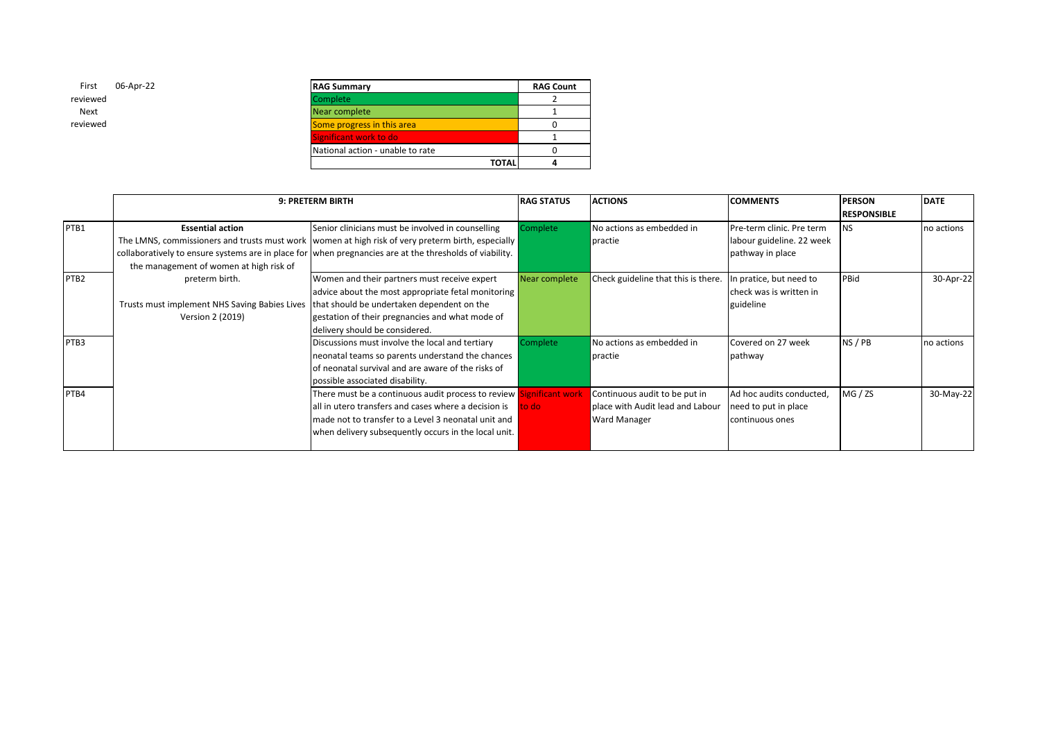| First    | 06-Apr-22 |
|----------|-----------|
| reviewed |           |
| Next     |           |
| reviewed |           |
|          |           |

| First<br>06-Apr-22 | <b>RAG Summary</b>               | <b>RAG Count</b> |
|--------------------|----------------------------------|------------------|
| viewed             | Complete                         |                  |
| Next               | Near complete                    |                  |
| viewed             | Some progress in this area       |                  |
|                    | Significant work to do           |                  |
|                    | National action - unable to rate |                  |
|                    | <b>TOTAL</b>                     |                  |

|                  |                                                                                                                                  | 9: PRETERM BIRTH                                                                                                                                                                                                                                                    | <b>RAG STATUS</b> | <b>ACTIONS</b>                                                                    | <b>COMMENTS</b>                                                            | <b>PERSON</b><br><b>RESPONSIBLE</b> | <b>DATE</b> |
|------------------|----------------------------------------------------------------------------------------------------------------------------------|---------------------------------------------------------------------------------------------------------------------------------------------------------------------------------------------------------------------------------------------------------------------|-------------------|-----------------------------------------------------------------------------------|----------------------------------------------------------------------------|-------------------------------------|-------------|
| PTB1             | <b>Essential action</b><br>the management of women at high risk of                                                               | Senior clinicians must be involved in counselling<br>The LMNS, commissioners and trusts must work   women at high risk of very preterm birth, especially<br>collaboratively to ensure systems are in place for when pregnancies are at the thresholds of viability. | Complete          | No actions as embedded in<br>practie                                              | Pre-term clinic. Pre term<br>labour guideline. 22 week<br>pathway in place | <b>NS</b>                           | no actions  |
| PTB <sub>2</sub> | preterm birth.<br>Trusts must implement NHS Saving Babies Lives   that should be undertaken dependent on the<br>Version 2 (2019) | Women and their partners must receive expert<br>advice about the most appropriate fetal monitoring<br>gestation of their pregnancies and what mode of<br>delivery should be considered.                                                                             | Near complete     | Check guideline that this is there.                                               | In pratice, but need to<br>Icheck was is written in<br>guideline           | PBid                                | 30-Apr-22   |
| PTB3             |                                                                                                                                  | Discussions must involve the local and tertiary<br>neonatal teams so parents understand the chances<br>of neonatal survival and are aware of the risks of<br>possible associated disability.                                                                        | Complete          | No actions as embedded in<br>practie                                              | Covered on 27 week<br>pathway                                              | NS/PB                               | no actions  |
| PTB4             |                                                                                                                                  | There must be a continuous audit process to review Significant work<br>all in utero transfers and cases where a decision is<br>made not to transfer to a Level 3 neonatal unit and<br>when delivery subsequently occurs in the local unit.                          | to do             | Continuous audit to be put in<br>place with Audit lead and Labour<br>Ward Manager | Ad hoc audits conducted,<br>need to put in place<br>continuous ones        | MG / ZS                             | 30-May-22   |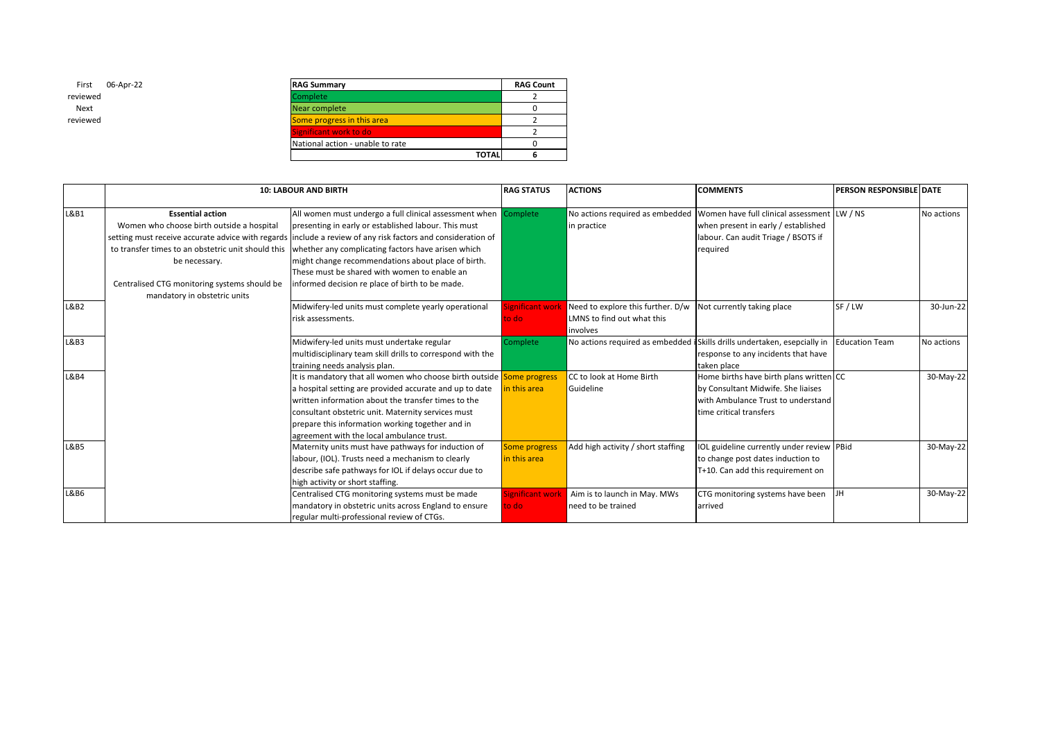| 06-Apr-22 | <b>RAG Summary</b>               |              | <b>RAG Count</b> |
|-----------|----------------------------------|--------------|------------------|
|           | <b>Complete</b>                  |              |                  |
|           | Near complete                    |              |                  |
|           | Some progress in this area       |              |                  |
|           | Significant work to do           |              |                  |
|           | National action - unable to rate |              |                  |
|           |                                  | <b>TOTAL</b> |                  |

|                 |                                                    | <b>10: LABOUR AND BIRTH</b>                                           | <b>RAG STATUS</b>       | <b>ACTIONS</b>                     | <b>COMMENTS</b>                                                           | PERSON RESPONSIBLE DATE |            |
|-----------------|----------------------------------------------------|-----------------------------------------------------------------------|-------------------------|------------------------------------|---------------------------------------------------------------------------|-------------------------|------------|
| L&B1            | <b>Essential action</b>                            | All women must undergo a full clinical assessment when                | Complete                | No actions required as embedded    | Women have full clinical assessment                                       | LW / NS                 | No actions |
|                 | Women who choose birth outside a hospital          | presenting in early or established labour. This must                  |                         | in practice                        | when present in early / established                                       |                         |            |
|                 | setting must receive accurate advice with regards  | include a review of any risk factors and consideration of             |                         |                                    | labour. Can audit Triage / BSOTS if                                       |                         |            |
|                 | to transfer times to an obstetric unit should this | whether any complicating factors have arisen which                    |                         |                                    | required                                                                  |                         |            |
|                 | be necessary.                                      | might change recommendations about place of birth.                    |                         |                                    |                                                                           |                         |            |
|                 |                                                    | These must be shared with women to enable an                          |                         |                                    |                                                                           |                         |            |
|                 | Centralised CTG monitoring systems should be       | informed decision re place of birth to be made.                       |                         |                                    |                                                                           |                         |            |
|                 | mandatory in obstetric units                       |                                                                       |                         |                                    |                                                                           |                         |            |
| L&B2            |                                                    | Midwifery-led units must complete yearly operational                  | <b>Significant work</b> | Need to explore this further. D/w  | Not currently taking place                                                | SF/LW                   | 30-Jun-22  |
|                 |                                                    | risk assessments.                                                     | to do                   | LMNS to find out what this         |                                                                           |                         |            |
|                 |                                                    |                                                                       |                         | involves                           |                                                                           |                         |            |
| L&B3            |                                                    | Midwifery-led units must undertake regular                            | Complete                |                                    | No actions required as embedded i Skills drills undertaken, esepcially in | <b>Education Team</b>   | No actions |
|                 |                                                    | multidisciplinary team skill drills to correspond with the            |                         |                                    | response to any incidents that have                                       |                         |            |
|                 |                                                    | training needs analysis plan.                                         |                         |                                    | taken place                                                               |                         |            |
| L&B4            |                                                    | It is mandatory that all women who choose birth outside Some progress |                         | CC to look at Home Birth           | Home births have birth plans written CC                                   |                         | 30-May-22  |
|                 |                                                    | a hospital setting are provided accurate and up to date               | in this area            | Guideline                          | by Consultant Midwife. She liaises                                        |                         |            |
|                 |                                                    | written information about the transfer times to the                   |                         |                                    | with Ambulance Trust to understand                                        |                         |            |
|                 |                                                    | consultant obstetric unit. Maternity services must                    |                         |                                    | time critical transfers                                                   |                         |            |
|                 |                                                    | prepare this information working together and in                      |                         |                                    |                                                                           |                         |            |
|                 |                                                    | agreement with the local ambulance trust.                             |                         |                                    |                                                                           |                         |            |
| <b>L&amp;B5</b> |                                                    | Maternity units must have pathways for induction of                   | Some progress           | Add high activity / short staffing | IOL guideline currently under review PBid                                 |                         | 30-May-22  |
|                 |                                                    | labour, (IOL). Trusts need a mechanism to clearly                     | in this area            |                                    | to change post dates induction to                                         |                         |            |
|                 |                                                    | describe safe pathways for IOL if delays occur due to                 |                         |                                    | T+10. Can add this requirement on                                         |                         |            |
|                 |                                                    | high activity or short staffing.                                      |                         |                                    |                                                                           |                         |            |
| L&B6            |                                                    | Centralised CTG monitoring systems must be made                       | ignificant work         | Aim is to launch in May. MWs       | CTG monitoring systems have been                                          | JH                      | 30-May-22  |
|                 |                                                    | mandatory in obstetric units across England to ensure                 | to do:                  | need to be trained                 | arrived                                                                   |                         |            |
|                 |                                                    | regular multi-professional review of CTGs.                            |                         |                                    |                                                                           |                         |            |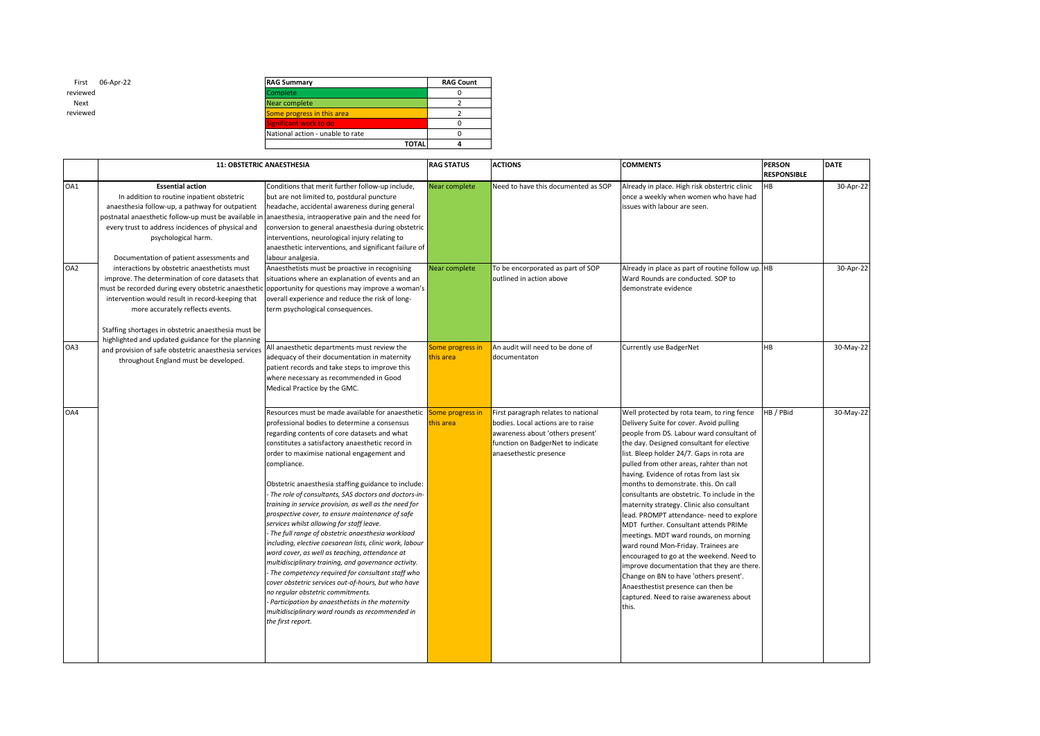| First    | 06-Apr-22 |
|----------|-----------|
| reviewed |           |
| Next     |           |
| reviewed |           |

| 06-Apr-22 | <b>RAG Summary</b>               | <b>RAG Count</b> |
|-----------|----------------------------------|------------------|
|           | Complete                         |                  |
|           | Near complete                    |                  |
|           | Some progress in this area       |                  |
|           | Significant work to do           |                  |
|           | National action - unable to rate |                  |
|           | <b>TOTAL</b>                     |                  |

|     | <b>11: OBSTETRIC ANAESTHESIA</b>                     |                                                                                               | <b>RAG STATUS</b> | <b>ACTIONS</b>                      | <b>COMMENTS</b>                                   | <b>PERSON</b>      | <b>DATE</b> |
|-----|------------------------------------------------------|-----------------------------------------------------------------------------------------------|-------------------|-------------------------------------|---------------------------------------------------|--------------------|-------------|
|     |                                                      |                                                                                               |                   |                                     |                                                   | <b>RESPONSIBLE</b> |             |
| OA1 | <b>Essential action</b>                              | Conditions that merit further follow-up include,                                              | Near complete     | Need to have this documented as SOP | Already in place. High risk obstertric clinic     | <b>HB</b>          | 30-Apr-22   |
|     | In addition to routine inpatient obstetric           | but are not limited to, postdural puncture                                                    |                   |                                     | once a weekly when women who have had             |                    |             |
|     | anaesthesia follow-up, a pathway for outpatient      | headache, accidental awareness during general                                                 |                   |                                     | issues with labour are seen.                      |                    |             |
|     | postnatal anaesthetic follow-up must be available ir | anaesthesia, intraoperative pain and the need for                                             |                   |                                     |                                                   |                    |             |
|     | every trust to address incidences of physical and    | conversion to general anaesthesia during obstetric                                            |                   |                                     |                                                   |                    |             |
|     | psychological harm.                                  | interventions, neurological injury relating to                                                |                   |                                     |                                                   |                    |             |
|     |                                                      | anaesthetic interventions, and significant failure of                                         |                   |                                     |                                                   |                    |             |
|     | Documentation of patient assessments and             | labour analgesia.                                                                             |                   |                                     |                                                   |                    |             |
| OA2 | interactions by obstetric anaesthetists must         | Anaesthetists must be proactive in recognising                                                | Near complete     | To be encorporated as part of SOP   | Already in place as part of routine follow up. HB |                    | 30-Apr-22   |
|     | improve. The determination of core datasets that     | situations where an explanation of events and an                                              |                   | outlined in action above            | Ward Rounds are conducted. SOP to                 |                    |             |
|     | must be recorded during every obstetric anaestheti   | opportunity for questions may improve a woman's                                               |                   |                                     | demonstrate evidence                              |                    |             |
|     | intervention would result in record-keeping that     | overall experience and reduce the risk of long-                                               |                   |                                     |                                                   |                    |             |
|     | more accurately reflects events.                     | term psychological consequences.                                                              |                   |                                     |                                                   |                    |             |
|     | Staffing shortages in obstetric anaesthesia must be  |                                                                                               |                   |                                     |                                                   |                    |             |
|     | highlighted and updated guidance for the planning    |                                                                                               |                   |                                     |                                                   |                    |             |
| OA3 | and provision of safe obstetric anaesthesia services | All anaesthetic departments must review the                                                   | Some progress in  | An audit will need to be done of    | Currently use BadgerNet                           | <b>HB</b>          | 30-May-22   |
|     | throughout England must be developed.                | adequacy of their documentation in maternity                                                  | this area         | documentaton                        |                                                   |                    |             |
|     |                                                      | patient records and take steps to improve this                                                |                   |                                     |                                                   |                    |             |
|     |                                                      | where necessary as recommended in Good                                                        |                   |                                     |                                                   |                    |             |
|     |                                                      | Medical Practice by the GMC.                                                                  |                   |                                     |                                                   |                    |             |
|     |                                                      |                                                                                               |                   |                                     |                                                   |                    |             |
| OA4 |                                                      | Resources must be made available for anaesthetic                                              | Some progress in  | First paragraph relates to national | Well protected by rota team, to ring fence        | HB / PBid          | 30-May-22   |
|     |                                                      | professional bodies to determine a consensus                                                  | this area         | bodies. Local actions are to raise  | Delivery Suite for cover. Avoid pulling           |                    |             |
|     |                                                      | regarding contents of core datasets and what                                                  |                   | awareness about 'others present'    | people from DS. Labour ward consultant of         |                    |             |
|     |                                                      | constitutes a satisfactory anaesthetic record in                                              |                   | function on BadgerNet to indicate   | the day. Designed consultant for elective         |                    |             |
|     |                                                      | order to maximise national engagement and                                                     |                   | anaesethestic presence              | list. Bleep holder 24/7. Gaps in rota are         |                    |             |
|     |                                                      | compliance.                                                                                   |                   |                                     | pulled from other areas, rahter than not          |                    |             |
|     |                                                      |                                                                                               |                   |                                     | having. Evidence of rotas from last six           |                    |             |
|     |                                                      | Obstetric anaesthesia staffing guidance to include:                                           |                   |                                     | months to demonstrate. this. On call              |                    |             |
|     |                                                      | The role of consultants, SAS doctors and doctors-in-                                          |                   |                                     | consultants are obstetric. To include in the      |                    |             |
|     |                                                      | training in service provision, as well as the need for                                        |                   |                                     | maternity strategy. Clinic also consultant        |                    |             |
|     |                                                      | prospective cover, to ensure maintenance of safe                                              |                   |                                     | lead. PROMPT attendance- need to explore          |                    |             |
|     |                                                      | services whilst allowing for staff leave.<br>The full range of obstetric anaesthesia workload |                   |                                     | MDT further. Consultant attends PRIMe             |                    |             |
|     |                                                      | including, elective caesarean lists, clinic work, labour                                      |                   |                                     | meetings. MDT ward rounds, on morning             |                    |             |
|     |                                                      | ward cover, as well as teaching, attendance at                                                |                   |                                     | ward round Mon-Friday. Trainees are               |                    |             |
|     |                                                      | multidisciplinary training, and governance activity.                                          |                   |                                     | encouraged to go at the weekend. Need to          |                    |             |
|     |                                                      | The competency required for consultant staff who                                              |                   |                                     | improve documentation that they are there.        |                    |             |
|     |                                                      | cover obstetric services out-of-hours, but who have                                           |                   |                                     | Change on BN to have 'others present'.            |                    |             |
|     |                                                      | no regular obstetric commitments.                                                             |                   |                                     | Anaesthestist presence can then be                |                    |             |
|     |                                                      | Participation by anaesthetists in the maternity                                               |                   |                                     | captured. Need to raise awareness about           |                    |             |
|     |                                                      | multidisciplinary ward rounds as recommended in                                               |                   |                                     | this.                                             |                    |             |
|     |                                                      | the first report.                                                                             |                   |                                     |                                                   |                    |             |
|     |                                                      |                                                                                               |                   |                                     |                                                   |                    |             |
|     |                                                      |                                                                                               |                   |                                     |                                                   |                    |             |
|     |                                                      |                                                                                               |                   |                                     |                                                   |                    |             |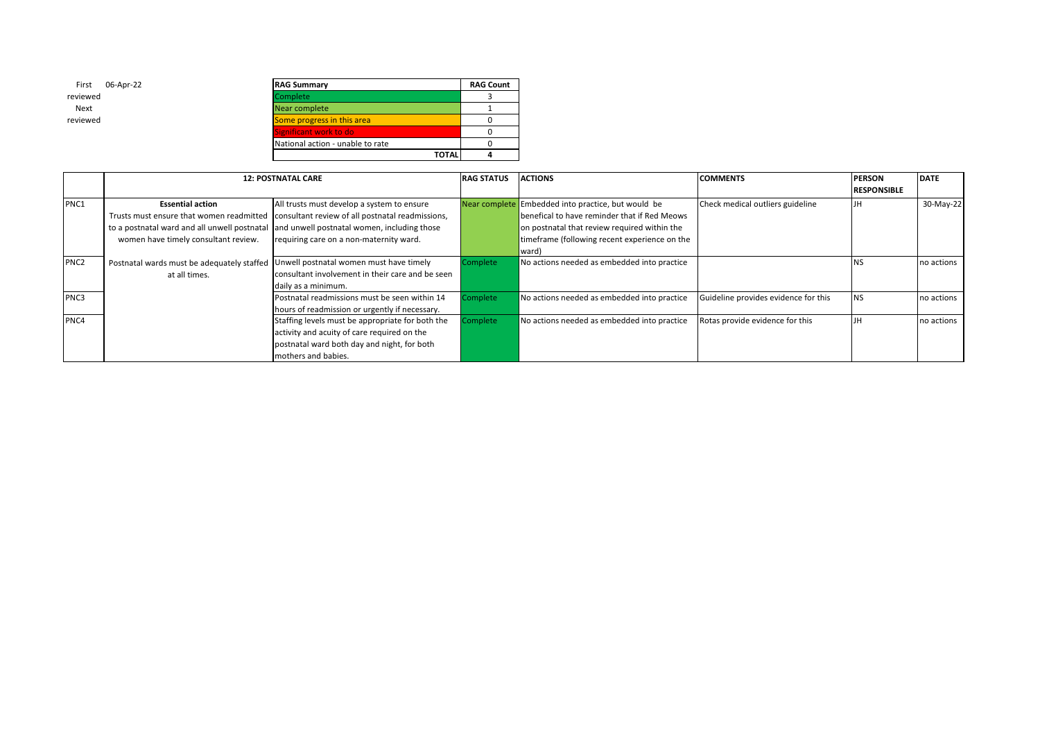| 06-Apr-22 | <b>RAG Summary</b>               | <b>RAG Count</b> |
|-----------|----------------------------------|------------------|
|           | Complete                         |                  |
|           | Near complete                    |                  |
|           | Some progress in this area       |                  |
|           | Significant work to do           |                  |
|           | National action - unable to rate |                  |
|           | <b>TOTAL</b>                     |                  |

First 06-Apr-22

reviewed Next reviewed

|                  |                                            | <b>12: POSTNATAL CARE</b>                                                                 | <b>RAG STATUS</b> | <b>ACTIONS</b>                                     | <b>COMMENTS</b>                      | <b>PERSON</b>      | <b>DATE</b> |
|------------------|--------------------------------------------|-------------------------------------------------------------------------------------------|-------------------|----------------------------------------------------|--------------------------------------|--------------------|-------------|
|                  |                                            |                                                                                           |                   |                                                    |                                      | <b>RESPONSIBLE</b> |             |
| PNC1             | <b>Essential action</b>                    | All trusts must develop a system to ensure                                                |                   | Near complete Embedded into practice, but would be | Check medical outliers guideline     |                    | 30-May-22   |
|                  |                                            | Trusts must ensure that women readmitted consultant review of all postnatal readmissions, |                   | benefical to have reminder that if Red Meows       |                                      |                    |             |
|                  |                                            | to a postnatal ward and all unwell postnatal and unwell postnatal women, including those  |                   | on postnatal that review required within the       |                                      |                    |             |
|                  | women have timely consultant review.       | requiring care on a non-maternity ward.                                                   |                   | timeframe (following recent experience on the      |                                      |                    |             |
|                  |                                            |                                                                                           |                   | ward)                                              |                                      |                    |             |
| PNC <sub>2</sub> | Postnatal wards must be adequately staffed | Unwell postnatal women must have timely                                                   | Complete          | No actions needed as embedded into practice        |                                      |                    | no actions  |
|                  | at all times.                              | consultant involvement in their care and be seen                                          |                   |                                                    |                                      |                    |             |
|                  |                                            | daily as a minimum.                                                                       |                   |                                                    |                                      |                    |             |
| PNC3             |                                            | Postnatal readmissions must be seen within 14                                             | Complete          | No actions needed as embedded into practice        | Guideline provides evidence for this | NS                 | no actions  |
|                  |                                            | hours of readmission or urgently if necessary.                                            |                   |                                                    |                                      |                    |             |
| PNC4             |                                            | Staffing levels must be appropriate for both the                                          | Complete          | No actions needed as embedded into practice        | Rotas provide evidence for this      |                    | no actions  |
|                  |                                            | activity and acuity of care required on the                                               |                   |                                                    |                                      |                    |             |
|                  |                                            | postnatal ward both day and night, for both                                               |                   |                                                    |                                      |                    |             |
|                  |                                            | mothers and babies.                                                                       |                   |                                                    |                                      |                    |             |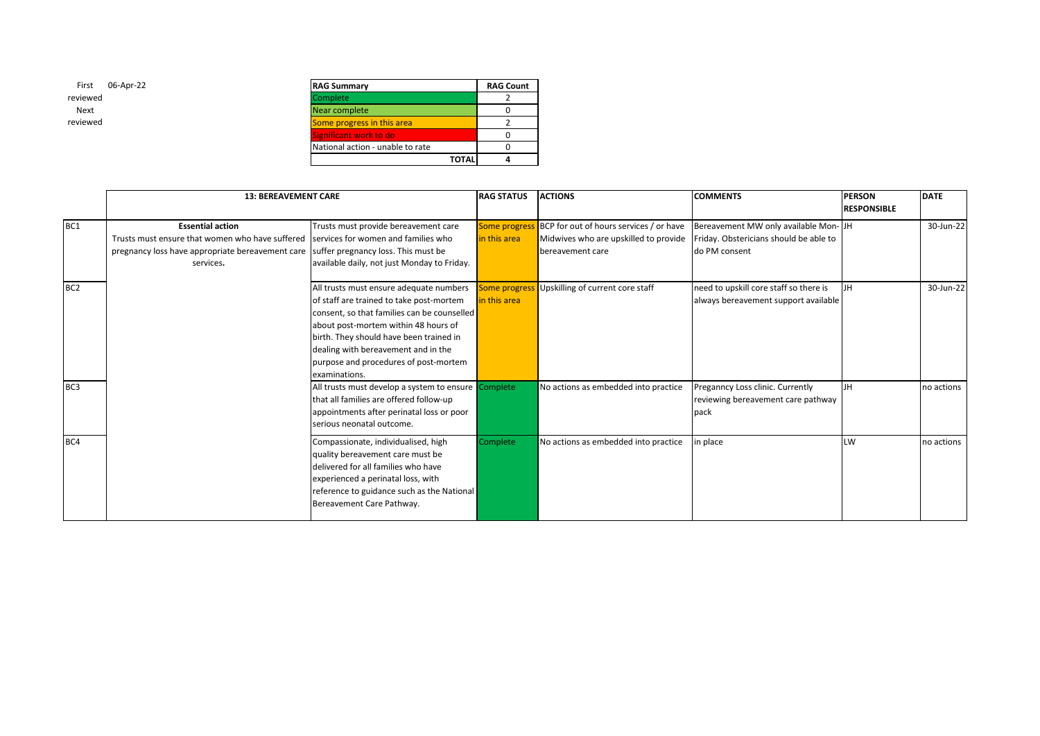| <b>RAG Summary</b>               | <b>RAG Count</b> |  |
|----------------------------------|------------------|--|
| Complete                         |                  |  |
| Near complete                    |                  |  |
| Some progress in this area       |                  |  |
| Significant work to do           |                  |  |
| National action - unable to rate |                  |  |
| <b>TOTAL</b>                     |                  |  |

|                 | <b>13: BEREAVEMENT CARE</b>                                                                                                                                                                                         |                                                                                                                                                                                                                                                                                                                        | <b>RAG STATUS</b>                    | <b>ACTIONS</b>                                                                                       | <b>COMMENTS</b>                                                                                 | <b>PERSON</b><br><b>RESPONSIBLE</b> | <b>DATE</b> |
|-----------------|---------------------------------------------------------------------------------------------------------------------------------------------------------------------------------------------------------------------|------------------------------------------------------------------------------------------------------------------------------------------------------------------------------------------------------------------------------------------------------------------------------------------------------------------------|--------------------------------------|------------------------------------------------------------------------------------------------------|-------------------------------------------------------------------------------------------------|-------------------------------------|-------------|
| BC <sub>1</sub> | <b>Essential action</b><br>Trusts must ensure that women who have suffered services for women and families who<br>pregnancy loss have appropriate bereavement care suffer pregnancy loss. This must be<br>services. | Trusts must provide bereavement care<br>available daily, not just Monday to Friday.                                                                                                                                                                                                                                    | <b>Some progress</b><br>in this area | BCP for out of hours services / or have<br>Midwives who are upskilled to provide<br>bereavement care | Bereavement MW only available Mon-JH<br>Friday. Obstericians should be able to<br>do PM consent |                                     | 30-Jun-22   |
| BC <sub>2</sub> |                                                                                                                                                                                                                     | All trusts must ensure adequate numbers<br>of staff are trained to take post-mortem<br>consent, so that families can be counselled<br>about post-mortem within 48 hours of<br>birth. They should have been trained in<br>dealing with bereavement and in the<br>purpose and procedures of post-mortem<br>examinations. | <b>Some progress</b><br>in this area | Upskilling of current core staff                                                                     | need to upskill core staff so there is<br>always bereavement support available                  | <b>JH</b>                           | 30-Jun-22   |
| BC <sub>3</sub> |                                                                                                                                                                                                                     | All trusts must develop a system to ensure Complete<br>that all families are offered follow-up<br>appointments after perinatal loss or poor<br>serious neonatal outcome.                                                                                                                                               |                                      | No actions as embedded into practice                                                                 | Preganncy Loss clinic. Currently<br>reviewing bereavement care pathway<br>pack                  | <b>JH</b>                           | no actions  |
| BC4             |                                                                                                                                                                                                                     | Compassionate, individualised, high<br>quality bereavement care must be<br>delivered for all families who have<br>experienced a perinatal loss, with<br>reference to guidance such as the National<br>Bereavement Care Pathway.                                                                                        | Complete                             | No actions as embedded into practice                                                                 | in place                                                                                        | LW                                  | no actions  |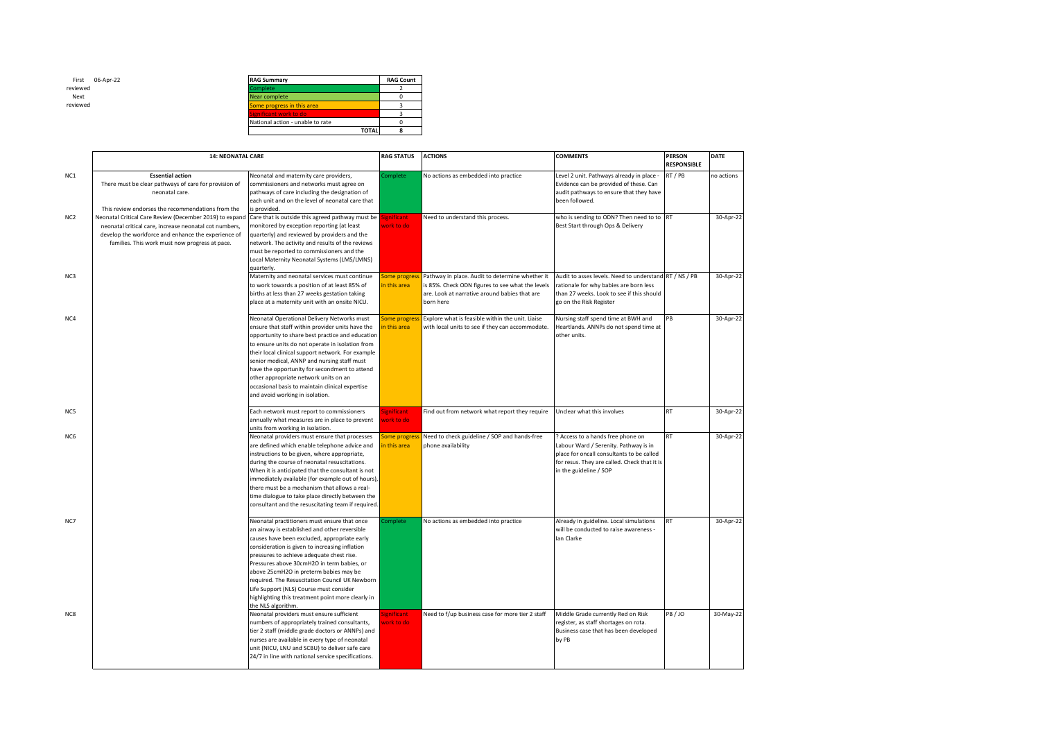

| <b>RAG Summary</b>               | <b>RAG Count</b> |
|----------------------------------|------------------|
| Complete                         |                  |
| Near complete                    |                  |
| Some progress in this area       |                  |
| Significant work to do           |                  |
| National action - unable to rate |                  |
| <b>TOTAL</b>                     |                  |

|                 | <b>14: NEONATAL CARE</b>                                                                                                                                                                                                   |                                                                                                                                                                                                                                                                                                                                                                                                                                                                                                              | <b>RAG STATUS</b>             | <b>ACTIONS</b>                                                                                                                                                    | <b>COMMENTS</b>                                                                                                                                                                                   | <b>PERSON</b><br><b>RESPONSIBLE</b> | DATE       |
|-----------------|----------------------------------------------------------------------------------------------------------------------------------------------------------------------------------------------------------------------------|--------------------------------------------------------------------------------------------------------------------------------------------------------------------------------------------------------------------------------------------------------------------------------------------------------------------------------------------------------------------------------------------------------------------------------------------------------------------------------------------------------------|-------------------------------|-------------------------------------------------------------------------------------------------------------------------------------------------------------------|---------------------------------------------------------------------------------------------------------------------------------------------------------------------------------------------------|-------------------------------------|------------|
| NC1             | <b>Essential action</b><br>There must be clear pathways of care for provision of<br>neonatal care.<br>This review endorses the recommendations from the                                                                    | Neonatal and maternity care providers,<br>commissioners and networks must agree on<br>pathways of care including the designation of<br>each unit and on the level of neonatal care that<br>is provided.                                                                                                                                                                                                                                                                                                      | Complete                      | No actions as embedded into practice                                                                                                                              | Level 2 unit. Pathways already in place -<br>Evidence can be provided of these. Can<br>audit pathways to ensure that they have<br>been followed.                                                  | RT / PB                             | no actions |
| NC <sub>2</sub> | Neonatal Critical Care Review (December 2019) to expand<br>neonatal critical care, increase neonatal cot numbers,<br>develop the workforce and enhance the experience of<br>families. This work must now progress at pace. | Care that is outside this agreed pathway must be<br>monitored by exception reporting (at least<br>quarterly) and reviewed by providers and the<br>network. The activity and results of the reviews<br>must be reported to commissioners and the<br>Local Maternity Neonatal Systems (LMS/LMNS)<br>quarterly.                                                                                                                                                                                                 | ignificant<br>vork to do      | Need to understand this process.                                                                                                                                  | who is sending to ODN? Then need to to RT<br>Best Start through Ops & Delivery                                                                                                                    |                                     | 30-Apr-22  |
| NC3             |                                                                                                                                                                                                                            | Maternity and neonatal services must continue<br>to work towards a position of at least 85% of<br>births at less than 27 weeks gestation taking<br>place at a maternity unit with an onsite NICU.                                                                                                                                                                                                                                                                                                            | Some progress<br>in this area | Pathway in place. Audit to determine whether it<br>is 85%. Check ODN figures to see what the levels<br>are. Look at narrative around babies that are<br>born here | Audit to asses levels. Need to understand RT / NS / PB<br>rationale for why babies are born less<br>than 27 weeks. Look to see if this should<br>go on the Risk Register                          |                                     | 30-Apr-22  |
| NC4             |                                                                                                                                                                                                                            | Neonatal Operational Delivery Networks must<br>ensure that staff within provider units have the<br>opportunity to share best practice and education<br>to ensure units do not operate in isolation from<br>their local clinical support network. For example<br>senior medical, ANNP and nursing staff must<br>have the opportunity for secondment to attend<br>other appropriate network units on an<br>occasional basis to maintain clinical expertise<br>and avoid working in isolation.                  | Some progress<br>in this area | Explore what is feasible within the unit. Liaise<br>with local units to see if they can accommodate.                                                              | Nursing staff spend time at BWH and<br>Heartlands. ANNPs do not spend time at<br>other units.                                                                                                     | PB                                  | 30-Apr-22  |
| NC5             |                                                                                                                                                                                                                            | Each network must report to commissioners<br>annually what measures are in place to prevent<br>units from working in isolation.                                                                                                                                                                                                                                                                                                                                                                              | ignificant<br>vork to do      | Find out from network what report they require                                                                                                                    | Unclear what this involves                                                                                                                                                                        | <b>RT</b>                           | 30-Apr-22  |
| NC6             |                                                                                                                                                                                                                            | Neonatal providers must ensure that processes<br>are defined which enable telephone advice and<br>instructions to be given, where appropriate,<br>during the course of neonatal resuscitations.<br>When it is anticipated that the consultant is not<br>immediately available (for example out of hours),<br>there must be a mechanism that allows a real-<br>time dialogue to take place directly between the<br>consultant and the resuscitating team if required.                                         | Some progress<br>in this area | Need to check guideline / SOP and hands-free<br>phone availability                                                                                                | ? Access to a hands free phone on<br>Labour Ward / Serenity. Pathway is in<br>place for oncall consultants to be called<br>for resus. They are called. Check that it is<br>in the guideline / SOP | <b>RT</b>                           | 30-Apr-22  |
| NC7             |                                                                                                                                                                                                                            | Neonatal practitioners must ensure that once<br>an airway is established and other reversible<br>causes have been excluded, appropriate early<br>consideration is given to increasing inflation<br>pressures to achieve adequate chest rise.<br>Pressures above 30cmH2O in term babies, or<br>above 25cmH2O in preterm babies may be<br>required. The Resuscitation Council UK Newborn<br>Life Support (NLS) Course must consider<br>highlighting this treatment point more clearly in<br>the NLS algorithm. | complete                      | No actions as embedded into practice                                                                                                                              | Already in guideline. Local simulations<br>will be conducted to raise awareness -<br>Ian Clarke                                                                                                   | <b>RT</b>                           | 30-Apr-22  |
| NC8             |                                                                                                                                                                                                                            | Neonatal providers must ensure sufficient<br>numbers of appropriately trained consultants,<br>tier 2 staff (middle grade doctors or ANNPs) and<br>nurses are available in every type of neonatal<br>unit (NICU, LNU and SCBU) to deliver safe care<br>24/7 in line with national service specifications.                                                                                                                                                                                                     | ignificant<br>vork to do      | Need to f/up business case for more tier 2 staff                                                                                                                  | Middle Grade currently Red on Risk<br>register, as staff shortages on rota.<br>Business case that has been developed<br>by PB                                                                     | PB / JO                             | 30-May-22  |